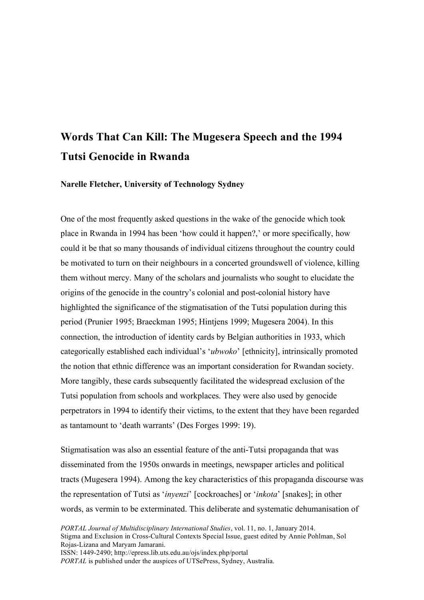# **Words That Can Kill: The Mugesera Speech and the 1994 Tutsi Genocide in Rwanda**

## **Narelle Fletcher, University of Technology Sydney**

One of the most frequently asked questions in the wake of the genocide which took place in Rwanda in 1994 has been 'how could it happen?,' or more specifically, how could it be that so many thousands of individual citizens throughout the country could be motivated to turn on their neighbours in a concerted groundswell of violence, killing them without mercy. Many of the scholars and journalists who sought to elucidate the origins of the genocide in the country's colonial and post-colonial history have highlighted the significance of the stigmatisation of the Tutsi population during this period (Prunier 1995; Braeckman 1995; Hintjens 1999; Mugesera 2004). In this connection, the introduction of identity cards by Belgian authorities in 1933, which categorically established each individual's '*ubwoko*' [ethnicity], intrinsically promoted the notion that ethnic difference was an important consideration for Rwandan society. More tangibly, these cards subsequently facilitated the widespread exclusion of the Tutsi population from schools and workplaces. They were also used by genocide perpetrators in 1994 to identify their victims, to the extent that they have been regarded as tantamount to 'death warrants' (Des Forges 1999: 19).

Stigmatisation was also an essential feature of the anti-Tutsi propaganda that was disseminated from the 1950s onwards in meetings, newspaper articles and political tracts (Mugesera 1994). Among the key characteristics of this propaganda discourse was the representation of Tutsi as '*inyenzi*' [cockroaches] or '*inkota*' [snakes]; in other words, as vermin to be exterminated. This deliberate and systematic dehumanisation of

*PORTAL Journal of Multidisciplinary International Studies*, vol. 11, no. 1, January 2014. Stigma and Exclusion in Cross-Cultural Contexts Special Issue, guest edited by Annie Pohlman, Sol Rojas-Lizana and Maryam Jamarani. ISSN: 1449-2490; http://epress.lib.uts.edu.au/ojs/index.php/portal

*PORTAL* is published under the auspices of UTSePress, Sydney, Australia.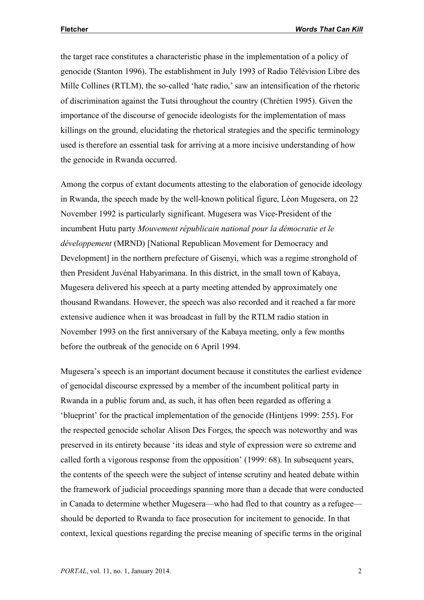the target race constitutes a characteristic phase in the implementation of a policy of genocide (Stanton 1996). The establishment in July 1993 of Radio Télévision Libre des Mille Collines (RTLM), the so-called 'hate radio,' saw an intensification of the rhetoric of discrimination against the Tutsi throughout the country (Chrétien 1995). Given the importance of the discourse of genocide ideologists for the implementation of mass killings on the ground, elucidating the rhetorical strategies and the specific terminology used is therefore an essential task for arriving at a more incisive understanding of how the genocide in Rwanda occurred.

Among the corpus of extant documents attesting to the elaboration of genocide ideology in Rwanda, the speech made by the well-known political figure, Léon Mugesera, on 22 November 1992 is particularly significant. Mugesera was Vice-President of the incumbent Hutu party *Mouvement républicain national pour la démocratie et le développement* (MRND) [National Republican Movement for Democracy and Development] in the northern prefecture of Gisenyi, which was a regime stronghold of then President Juvénal Habyarimana. In this district, in the small town of Kabaya, Mugesera delivered his speech at a party meeting attended by approximately one thousand Rwandans. However, the speech was also recorded and it reached a far more extensive audience when it was broadcast in full by the RTLM radio station in November 1993 on the first anniversary of the Kabaya meeting, only a few months before the outbreak of the genocide on 6 April 1994.

Mugesera's speech is an important document because it constitutes the earliest evidence of genocidal discourse expressed by a member of the incumbent political party in Rwanda in a public forum and, as such, it has often been regarded as offering a 'blueprint' for the practical implementation of the genocide (Hintjens 1999: 255). For the respected genocide scholar Alison Des Forges, the speech was noteworthy and was preserved in its entirety because 'its ideas and style of expression were so extreme and called forth a vigorous response from the opposition' (1999: 68). In subsequent years, the contents of the speech were the subject of intense scrutiny and heated debate within the framework of judicial proceedings spanning more than a decade that were conducted in Canada to determine whether Mugesera—who had fled to that country as a refugee should be deported to Rwanda to face prosecution for incitement to genocide. In that context, lexical questions regarding the precise meaning of specific terms in the original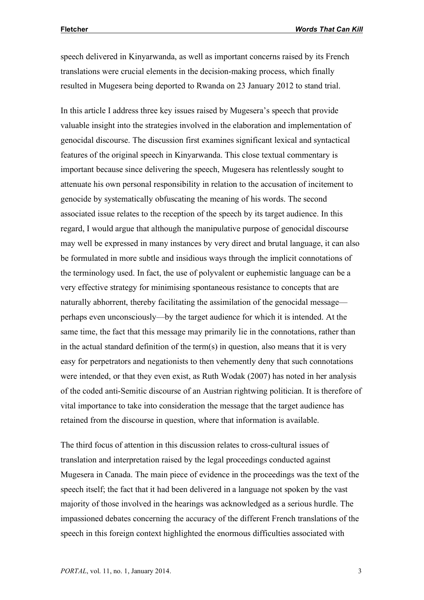speech delivered in Kinyarwanda, as well as important concerns raised by its French translations were crucial elements in the decision-making process, which finally resulted in Mugesera being deported to Rwanda on 23 January 2012 to stand trial.

In this article I address three key issues raised by Mugesera's speech that provide valuable insight into the strategies involved in the elaboration and implementation of genocidal discourse. The discussion first examines significant lexical and syntactical features of the original speech in Kinyarwanda. This close textual commentary is important because since delivering the speech, Mugesera has relentlessly sought to attenuate his own personal responsibility in relation to the accusation of incitement to genocide by systematically obfuscating the meaning of his words. The second associated issue relates to the reception of the speech by its target audience. In this regard, I would argue that although the manipulative purpose of genocidal discourse may well be expressed in many instances by very direct and brutal language, it can also be formulated in more subtle and insidious ways through the implicit connotations of the terminology used. In fact, the use of polyvalent or euphemistic language can be a very effective strategy for minimising spontaneous resistance to concepts that are naturally abhorrent, thereby facilitating the assimilation of the genocidal message perhaps even unconsciously—by the target audience for which it is intended. At the same time, the fact that this message may primarily lie in the connotations, rather than in the actual standard definition of the term(s) in question, also means that it is very easy for perpetrators and negationists to then vehemently deny that such connotations were intended, or that they even exist, as Ruth Wodak (2007) has noted in her analysis of the coded anti-Semitic discourse of an Austrian rightwing politician. It is therefore of vital importance to take into consideration the message that the target audience has retained from the discourse in question, where that information is available.

The third focus of attention in this discussion relates to cross-cultural issues of translation and interpretation raised by the legal proceedings conducted against Mugesera in Canada. The main piece of evidence in the proceedings was the text of the speech itself; the fact that it had been delivered in a language not spoken by the vast majority of those involved in the hearings was acknowledged as a serious hurdle. The impassioned debates concerning the accuracy of the different French translations of the speech in this foreign context highlighted the enormous difficulties associated with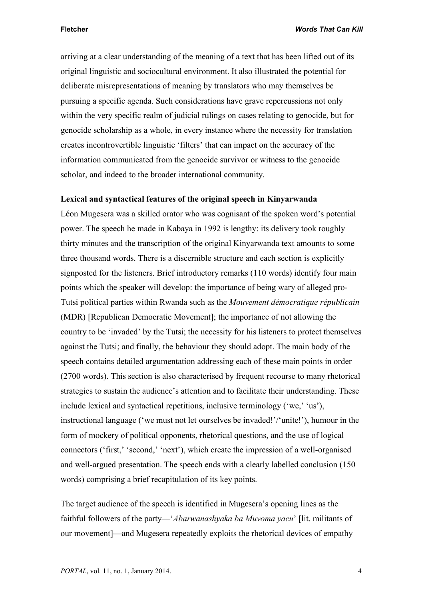arriving at a clear understanding of the meaning of a text that has been lifted out of its original linguistic and sociocultural environment. It also illustrated the potential for deliberate misrepresentations of meaning by translators who may themselves be pursuing a specific agenda. Such considerations have grave repercussions not only within the very specific realm of judicial rulings on cases relating to genocide, but for genocide scholarship as a whole, in every instance where the necessity for translation creates incontrovertible linguistic 'filters' that can impact on the accuracy of the information communicated from the genocide survivor or witness to the genocide scholar, and indeed to the broader international community.

#### **Lexical and syntactical features of the original speech in Kinyarwanda**

Léon Mugesera was a skilled orator who was cognisant of the spoken word's potential power. The speech he made in Kabaya in 1992 is lengthy: its delivery took roughly thirty minutes and the transcription of the original Kinyarwanda text amounts to some three thousand words. There is a discernible structure and each section is explicitly signposted for the listeners. Brief introductory remarks (110 words) identify four main points which the speaker will develop: the importance of being wary of alleged pro-Tutsi political parties within Rwanda such as the *Mouvement démocratique républicain* (MDR) [Republican Democratic Movement]; the importance of not allowing the country to be 'invaded' by the Tutsi; the necessity for his listeners to protect themselves against the Tutsi; and finally, the behaviour they should adopt. The main body of the speech contains detailed argumentation addressing each of these main points in order (2700 words). This section is also characterised by frequent recourse to many rhetorical strategies to sustain the audience's attention and to facilitate their understanding. These include lexical and syntactical repetitions, inclusive terminology ('we,' 'us'), instructional language ('we must not let ourselves be invaded!'/'unite!'), humour in the form of mockery of political opponents, rhetorical questions, and the use of logical connectors ('first,' 'second,' 'next'), which create the impression of a well-organised and well-argued presentation. The speech ends with a clearly labelled conclusion (150 words) comprising a brief recapitulation of its key points.

The target audience of the speech is identified in Mugesera's opening lines as the faithful followers of the party—'*Abarwanashyaka ba Muvoma yacu*' [lit. militants of our movement]—and Mugesera repeatedly exploits the rhetorical devices of empathy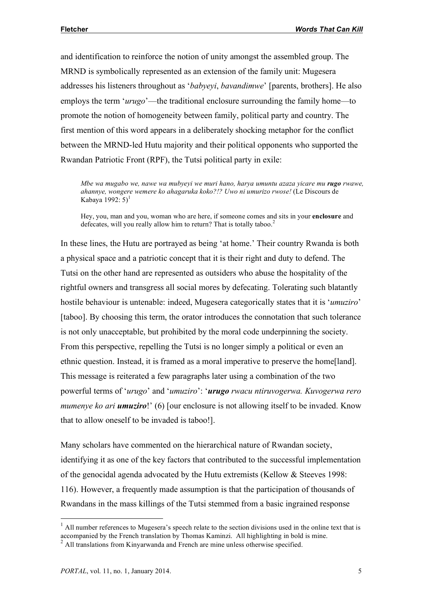and identification to reinforce the notion of unity amongst the assembled group. The MRND is symbolically represented as an extension of the family unit: Mugesera addresses his listeners throughout as '*babyeyi*, *bavandimwe*' [parents, brothers]. He also employs the term '*urugo*'—the traditional enclosure surrounding the family home—to promote the notion of homogeneity between family, political party and country. The first mention of this word appears in a deliberately shocking metaphor for the conflict between the MRND-led Hutu majority and their political opponents who supported the Rwandan Patriotic Front (RPF), the Tutsi political party in exile:

*Mbe wa mugabo we, nawe wa mubyeyi we muri hano, harya umuntu azaza yicare mu rugo rwawe, ahannye, wongere wemere ko ahagaruka koko?!? Uwo ni umurizo rwose!* (Le Discours de Kabaya 1992:  $5$ <sup>1</sup>

Hey, you, man and you, woman who are here, if someone comes and sits in your **enclosure** and defecates, will you really allow him to return? That is totally taboo.<sup>2</sup>

In these lines, the Hutu are portrayed as being 'at home.' Their country Rwanda is both a physical space and a patriotic concept that it is their right and duty to defend. The Tutsi on the other hand are represented as outsiders who abuse the hospitality of the rightful owners and transgress all social mores by defecating. Tolerating such blatantly hostile behaviour is untenable: indeed, Mugesera categorically states that it is '*umuziro*' [taboo]. By choosing this term, the orator introduces the connotation that such tolerance is not only unacceptable, but prohibited by the moral code underpinning the society. From this perspective, repelling the Tutsi is no longer simply a political or even an ethnic question. Instead, it is framed as a moral imperative to preserve the home[land]. This message is reiterated a few paragraphs later using a combination of the two powerful terms of '*urugo*' and '*umuziro*': '*urugo rwacu ntiruvogerwa. Kuvogerwa rero mumenye ko ari umuziro!*' (6) [our enclosure is not allowing itself to be invaded. Know that to allow oneself to be invaded is taboo!].

Many scholars have commented on the hierarchical nature of Rwandan society, identifying it as one of the key factors that contributed to the successful implementation of the genocidal agenda advocated by the Hutu extremists (Kellow & Steeves 1998: 116). However, a frequently made assumption is that the participation of thousands of Rwandans in the mass killings of the Tutsi stemmed from a basic ingrained response

 <sup>1</sup> All number references to Mugesera's speech relate to the section divisions used in the online text that is accompanied by the French translation by Thomas Kaminzi. All highlighting in bold is mine.

<sup>2</sup> All translations from Kinyarwanda and French are mine unless otherwise specified.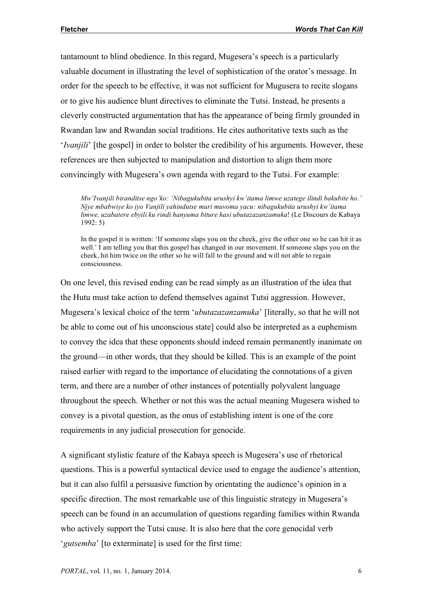tantamount to blind obedience. In this regard, Mugesera's speech is a particularly valuable document in illustrating the level of sophistication of the orator's message. In order for the speech to be effective, it was not sufficient for Mugusera to recite slogans or to give his audience blunt directives to eliminate the Tutsi. Instead, he presents a cleverly constructed argumentation that has the appearance of being firmly grounded in Rwandan law and Rwandan social traditions. He cites authoritative texts such as the '*Ivanjili*' [the gospel] in order to bolster the credibility of his arguments. However, these references are then subjected to manipulation and distortion to align them more convincingly with Mugesera's own agenda with regard to the Tutsi. For example:

*Mw'Ivanjili biranditse ngo'ko: 'Nibagukubita urushyi kw'itama limwe uzatege ilindi bakubite ho.' Njye mbabwiye ko iyo Vanjili yahindutse muri muvoma yacu: nibagukubita urushyi kw'itama limwe, uzabatere ebyili ku rindi hanyuma biture hasi ubutazazanzamuka*! (Le Discours de Kabaya 1992: 5)

In the gospel it is written: 'If someone slaps you on the cheek, give the other one so he can hit it as well.' I am telling you that this gospel has changed in our movement. If someone slaps you on the cheek, hit him twice on the other so he will fall to the ground and will not able to regain consciousness.

On one level, this revised ending can be read simply as an illustration of the idea that the Hutu must take action to defend themselves against Tutsi aggression. However, Mugesera's lexical choice of the term '*ubutazazanzamuka*' [literally, so that he will not be able to come out of his unconscious state] could also be interpreted as a euphemism to convey the idea that these opponents should indeed remain permanently inanimate on the ground—in other words, that they should be killed. This is an example of the point raised earlier with regard to the importance of elucidating the connotations of a given term, and there are a number of other instances of potentially polyvalent language throughout the speech. Whether or not this was the actual meaning Mugesera wished to convey is a pivotal question, as the onus of establishing intent is one of the core requirements in any judicial prosecution for genocide.

A significant stylistic feature of the Kabaya speech is Mugesera's use of rhetorical questions. This is a powerful syntactical device used to engage the audience's attention, but it can also fulfil a persuasive function by orientating the audience's opinion in a specific direction. The most remarkable use of this linguistic strategy in Mugesera's speech can be found in an accumulation of questions regarding families within Rwanda who actively support the Tutsi cause. It is also here that the core genocidal verb '*gutsemba*' [to exterminate] is used for the first time: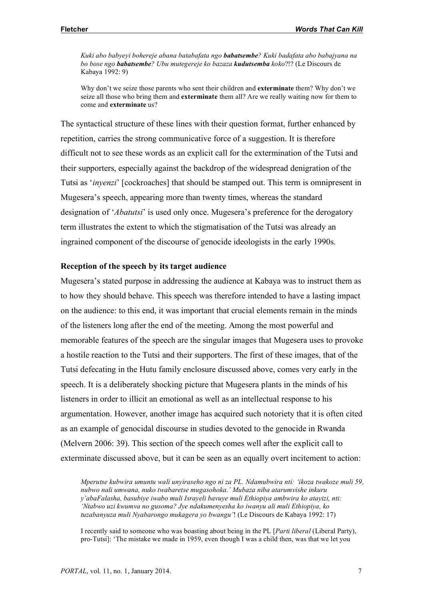*Kuki abo babyeyi bohereje abana batabafata ngo babatsembe? Kuki badafata abo babajyana na bo bose ngo babatsembe? Ubu mutegereje ko bazaza kudutsemba koko*?!? (Le Discours de Kabaya 1992: 9)

Why don't we seize those parents who sent their children and **exterminate** them? Why don't we seize all those who bring them and **exterminate** them all? Are we really waiting now for them to come and **exterminate** us?

The syntactical structure of these lines with their question format, further enhanced by repetition, carries the strong communicative force of a suggestion. It is therefore difficult not to see these words as an explicit call for the extermination of the Tutsi and their supporters, especially against the backdrop of the widespread denigration of the Tutsi as '*inyenzi*' [cockroaches] that should be stamped out. This term is omnipresent in Mugesera's speech, appearing more than twenty times, whereas the standard designation of '*Abatutsi*' is used only once. Mugesera's preference for the derogatory term illustrates the extent to which the stigmatisation of the Tutsi was already an ingrained component of the discourse of genocide ideologists in the early 1990s.

### **Reception of the speech by its target audience**

Mugesera's stated purpose in addressing the audience at Kabaya was to instruct them as to how they should behave. This speech was therefore intended to have a lasting impact on the audience: to this end, it was important that crucial elements remain in the minds of the listeners long after the end of the meeting. Among the most powerful and memorable features of the speech are the singular images that Mugesera uses to provoke a hostile reaction to the Tutsi and their supporters. The first of these images, that of the Tutsi defecating in the Hutu family enclosure discussed above, comes very early in the speech. It is a deliberately shocking picture that Mugesera plants in the minds of his listeners in order to illicit an emotional as well as an intellectual response to his argumentation. However, another image has acquired such notoriety that it is often cited as an example of genocidal discourse in studies devoted to the genocide in Rwanda (Melvern 2006: 39). This section of the speech comes well after the explicit call to exterminate discussed above, but it can be seen as an equally overt incitement to action:

*Mperutse kubwira umuntu wali unyiraseho ngo ni za PL. Ndamubwira nti: 'ikoza twakoze muli 59, nubwo nali umwana, nuko twabaretse mugasohoka.' Mubaza niba atarumvishe inkuru y'abaFalasha, basubiye iwabo muli Israyeli bavuye muli Ethiopiya ambwira ko atayizi, nti: 'Ntabwo uzi kwumva no gusoma? Jye ndakumenyesha ko iwanyu ali muli Ethiopiya, ko tuzabanyuza muli Nyabarongo mukagera yo bwangu'*! (Le Discours de Kabaya 1992: 17)

I recently said to someone who was boasting about being in the PL [*Parti liberal* (Liberal Party), pro-Tutsi]: 'The mistake we made in 1959, even though I was a child then, was that we let you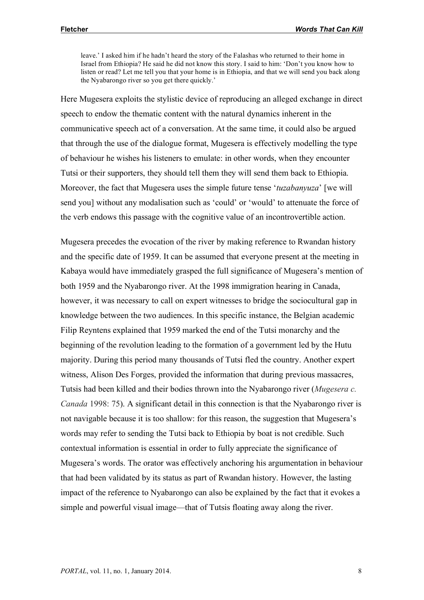leave.' I asked him if he hadn't heard the story of the Falashas who returned to their home in Israel from Ethiopia? He said he did not know this story. I said to him: 'Don't you know how to listen or read? Let me tell you that your home is in Ethiopia, and that we will send you back along the Nyabarongo river so you get there quickly.'

Here Mugesera exploits the stylistic device of reproducing an alleged exchange in direct speech to endow the thematic content with the natural dynamics inherent in the communicative speech act of a conversation. At the same time, it could also be argued that through the use of the dialogue format, Mugesera is effectively modelling the type of behaviour he wishes his listeners to emulate: in other words, when they encounter Tutsi or their supporters, they should tell them they will send them back to Ethiopia. Moreover, the fact that Mugesera uses the simple future tense '*tuzabanyuza*' [we will send you] without any modalisation such as 'could' or 'would' to attenuate the force of the verb endows this passage with the cognitive value of an incontrovertible action.

Mugesera precedes the evocation of the river by making reference to Rwandan history and the specific date of 1959. It can be assumed that everyone present at the meeting in Kabaya would have immediately grasped the full significance of Mugesera's mention of both 1959 and the Nyabarongo river. At the 1998 immigration hearing in Canada, however, it was necessary to call on expert witnesses to bridge the sociocultural gap in knowledge between the two audiences. In this specific instance, the Belgian academic Filip Reyntens explained that 1959 marked the end of the Tutsi monarchy and the beginning of the revolution leading to the formation of a government led by the Hutu majority. During this period many thousands of Tutsi fled the country. Another expert witness, Alison Des Forges, provided the information that during previous massacres, Tutsis had been killed and their bodies thrown into the Nyabarongo river (*Mugesera c. Canada* 1998: 75). A significant detail in this connection is that the Nyabarongo river is not navigable because it is too shallow: for this reason, the suggestion that Mugesera's words may refer to sending the Tutsi back to Ethiopia by boat is not credible. Such contextual information is essential in order to fully appreciate the significance of Mugesera's words. The orator was effectively anchoring his argumentation in behaviour that had been validated by its status as part of Rwandan history. However, the lasting impact of the reference to Nyabarongo can also be explained by the fact that it evokes a simple and powerful visual image—that of Tutsis floating away along the river.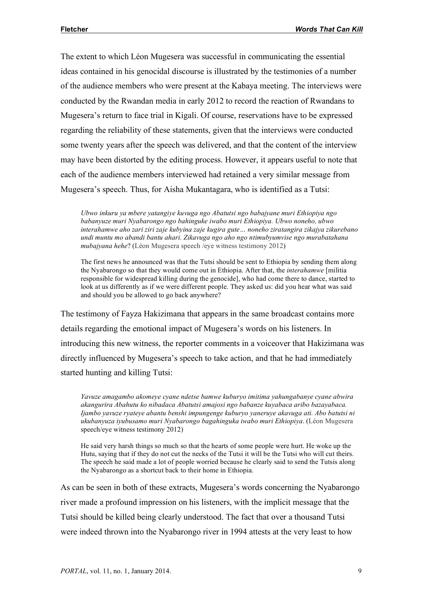The extent to which Léon Mugesera was successful in communicating the essential ideas contained in his genocidal discourse is illustrated by the testimonies of a number of the audience members who were present at the Kabaya meeting. The interviews were conducted by the Rwandan media in early 2012 to record the reaction of Rwandans to Mugesera's return to face trial in Kigali. Of course, reservations have to be expressed regarding the reliability of these statements, given that the interviews were conducted some twenty years after the speech was delivered, and that the content of the interview may have been distorted by the editing process. However, it appears useful to note that each of the audience members interviewed had retained a very similar message from Mugesera's speech. Thus, for Aisha Mukantagara, who is identified as a Tutsi:

*Ubwo inkuru ya mbere yatangiye kuvuga ngo Abatutsi ngo babajyane muri Ethiopiya ngo babanyuze muri Nyabarongo ngo bahinguke iwabo muri Ethiopiya. Ubwo noneho, ubwo interahamwe aho zari ziri zaje kubyina zaje kugira gute… noneho ziratangira zikajya zikurebano undi muntu mo abandi bantu ahari. Zikavuga ngo aho ngo ntimubyumvise ngo murabatahana mubajyana hehe*? (Léon Mugesera speech /eye witness testimony 2012)

The first news he announced was that the Tutsi should be sent to Ethiopia by sending them along the Nyabarongo so that they would come out in Ethiopia. After that, the *interahamwe* [militia responsible for widespread killing during the genocide], who had come there to dance, started to look at us differently as if we were different people. They asked us: did you hear what was said and should you be allowed to go back anywhere?

The testimony of Fayza Hakizimana that appears in the same broadcast contains more details regarding the emotional impact of Mugesera's words on his listeners. In introducing this new witness, the reporter comments in a voiceover that Hakizimana was directly influenced by Mugesera's speech to take action, and that he had immediately started hunting and killing Tutsi:

*Yavuze amagambo akomeye cyane ndetse bamwe kuburyo imitima yahungabanye cyane abwira akangurira Abahutu ko nibadaca Abatutsi amajosi ngo babanze kuyabaca aribo bazayabaca. Ijambo yavuze ryateye abantu benshi impungenge kuburyo yaneruye akavuga ati. Abo batutsi ni ukubanyuza iyubusamo muri Nyabarongo bagahinguka iwabo muri Ethiopiya*. (Léon Mugesera speech/eye witness testimony 2012)

He said very harsh things so much so that the hearts of some people were hurt. He woke up the Hutu, saying that if they do not cut the necks of the Tutsi it will be the Tutsi who will cut theirs. The speech he said made a lot of people worried because he clearly said to send the Tutsis along the Nyabarongo as a shortcut back to their home in Ethiopia.

As can be seen in both of these extracts, Mugesera's words concerning the Nyabarongo river made a profound impression on his listeners, with the implicit message that the Tutsi should be killed being clearly understood. The fact that over a thousand Tutsi were indeed thrown into the Nyabarongo river in 1994 attests at the very least to how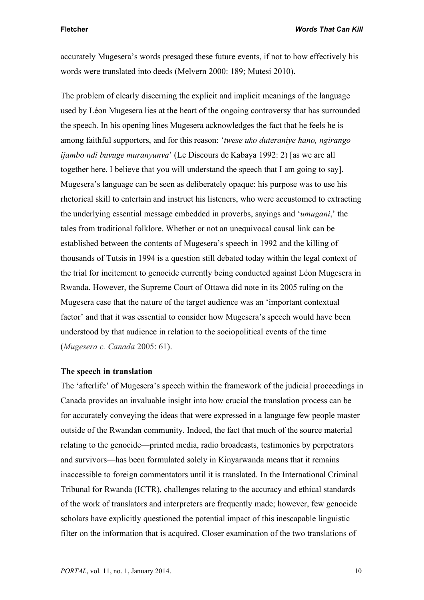accurately Mugesera's words presaged these future events, if not to how effectively his words were translated into deeds (Melvern 2000: 189; Mutesi 2010).

The problem of clearly discerning the explicit and implicit meanings of the language used by Léon Mugesera lies at the heart of the ongoing controversy that has surrounded the speech. In his opening lines Mugesera acknowledges the fact that he feels he is among faithful supporters, and for this reason: '*twese uko duteraniye hano, ngirango ijambo ndi buvuge muranyunva*' (Le Discours de Kabaya 1992: 2) [as we are all together here, I believe that you will understand the speech that I am going to say]. Mugesera's language can be seen as deliberately opaque: his purpose was to use his rhetorical skill to entertain and instruct his listeners, who were accustomed to extracting the underlying essential message embedded in proverbs, sayings and '*umugani*,' the tales from traditional folklore. Whether or not an unequivocal causal link can be established between the contents of Mugesera's speech in 1992 and the killing of thousands of Tutsis in 1994 is a question still debated today within the legal context of the trial for incitement to genocide currently being conducted against Léon Mugesera in Rwanda. However, the Supreme Court of Ottawa did note in its 2005 ruling on the Mugesera case that the nature of the target audience was an 'important contextual factor' and that it was essential to consider how Mugesera's speech would have been understood by that audience in relation to the sociopolitical events of the time (*Mugesera c. Canada* 2005: 61).

#### **The speech in translation**

The 'afterlife' of Mugesera's speech within the framework of the judicial proceedings in Canada provides an invaluable insight into how crucial the translation process can be for accurately conveying the ideas that were expressed in a language few people master outside of the Rwandan community. Indeed, the fact that much of the source material relating to the genocide—printed media, radio broadcasts, testimonies by perpetrators and survivors—has been formulated solely in Kinyarwanda means that it remains inaccessible to foreign commentators until it is translated. In the International Criminal Tribunal for Rwanda (ICTR), challenges relating to the accuracy and ethical standards of the work of translators and interpreters are frequently made; however, few genocide scholars have explicitly questioned the potential impact of this inescapable linguistic filter on the information that is acquired. Closer examination of the two translations of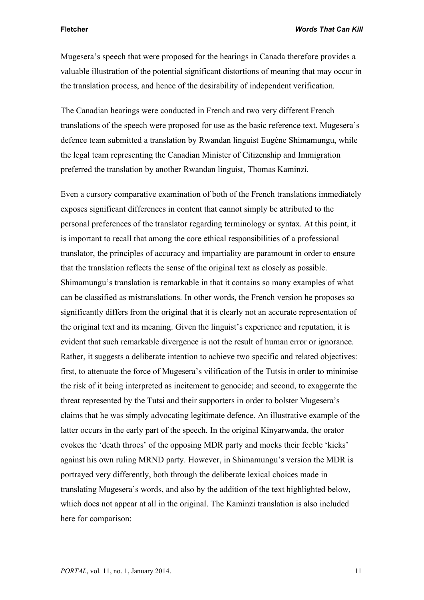Mugesera's speech that were proposed for the hearings in Canada therefore provides a valuable illustration of the potential significant distortions of meaning that may occur in the translation process, and hence of the desirability of independent verification.

The Canadian hearings were conducted in French and two very different French translations of the speech were proposed for use as the basic reference text. Mugesera's defence team submitted a translation by Rwandan linguist Eugène Shimamungu, while the legal team representing the Canadian Minister of Citizenship and Immigration preferred the translation by another Rwandan linguist, Thomas Kaminzi.

Even a cursory comparative examination of both of the French translations immediately exposes significant differences in content that cannot simply be attributed to the personal preferences of the translator regarding terminology or syntax. At this point, it is important to recall that among the core ethical responsibilities of a professional translator, the principles of accuracy and impartiality are paramount in order to ensure that the translation reflects the sense of the original text as closely as possible. Shimamungu's translation is remarkable in that it contains so many examples of what can be classified as mistranslations. In other words, the French version he proposes so significantly differs from the original that it is clearly not an accurate representation of the original text and its meaning. Given the linguist's experience and reputation, it is evident that such remarkable divergence is not the result of human error or ignorance. Rather, it suggests a deliberate intention to achieve two specific and related objectives: first, to attenuate the force of Mugesera's vilification of the Tutsis in order to minimise the risk of it being interpreted as incitement to genocide; and second, to exaggerate the threat represented by the Tutsi and their supporters in order to bolster Mugesera's claims that he was simply advocating legitimate defence. An illustrative example of the latter occurs in the early part of the speech. In the original Kinyarwanda, the orator evokes the 'death throes' of the opposing MDR party and mocks their feeble 'kicks' against his own ruling MRND party. However, in Shimamungu's version the MDR is portrayed very differently, both through the deliberate lexical choices made in translating Mugesera's words, and also by the addition of the text highlighted below, which does not appear at all in the original. The Kaminzi translation is also included here for comparison: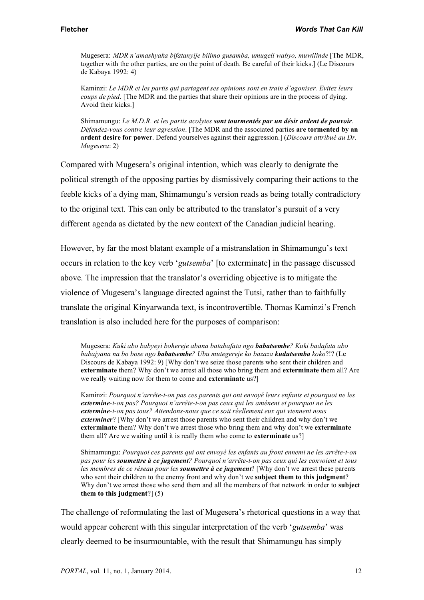Mugesera: *MDR n'amashyaka bifatanyije bilimo gusamba, umugeli wabyo, muwilinde* [The MDR, together with the other parties, are on the point of death. Be careful of their kicks.] (Le Discours de Kabaya 1992: 4)

Kaminzi: *Le MDR et les partis qui partagent ses opinions sont en train d'agoniser. Evitez leurs coups de pied*. [The MDR and the parties that share their opinions are in the process of dying. Avoid their kicks.]

Shimamungu: *Le M.D.R. et les partis acolytes sont tourmentés par un désir ardent de pouvoir. Défendez-vous contre leur agression*. [The MDR and the associated parties **are tormented by an ardent desire for power**. Defend yourselves against their aggression.] (*Discours attribué au Dr. Mugesera*: 2)

Compared with Mugesera's original intention, which was clearly to denigrate the political strength of the opposing parties by dismissively comparing their actions to the feeble kicks of a dying man, Shimamungu's version reads as being totally contradictory to the original text. This can only be attributed to the translator's pursuit of a very different agenda as dictated by the new context of the Canadian judicial hearing.

However, by far the most blatant example of a mistranslation in Shimamungu's text occurs in relation to the key verb '*gutsemba*' [to exterminate] in the passage discussed above. The impression that the translator's overriding objective is to mitigate the violence of Mugesera's language directed against the Tutsi, rather than to faithfully translate the original Kinyarwanda text, is incontrovertible. Thomas Kaminzi's French translation is also included here for the purposes of comparison:

Mugesera: *Kuki abo babyeyi bohereje abana batabafata ngo babatsembe? Kuki badafata abo babajyana na bo bose ngo babatsembe? Ubu mutegereje ko bazaza kudutsemba koko*?!? (Le Discours de Kabaya 1992: 9) [Why don't we seize those parents who sent their children and **exterminate** them? Why don't we arrest all those who bring them and **exterminate** them all? Are we really waiting now for them to come and **exterminate** us?]

Kaminzi: *Pourquoi n'arrête-t-on pas ces parents qui ont envoyé leurs enfants et pourquoi ne les extermine-t-on pas? Pourquoi n'arrête-t-on pas ceux qui les amènent et pourquoi ne les extermine-t-on pas tous? Attendons-nous que ce soit réellement eux qui viennent nous exterminer*? [Why don't we arrest those parents who sent their children and why don't we **exterminate** them? Why don't we arrest those who bring them and why don't we **exterminate** them all? Are we waiting until it is really them who come to **exterminate** us?]

Shimamungu: *Pourquoi ces parents qui ont envoyé les enfants au front ennemi ne les arrête-t-on pas pour les soumettre à ce jugement? Pourquoi n'arrête-t-on pas ceux qui les convoient et tous les membres de ce réseau pour les soumettre à ce jugement*? [Why don't we arrest these parents who sent their children to the enemy front and why don't we **subject them to this judgment**? Why don't we arrest those who send them and all the members of that network in order to **subject them to this judgment**?] (5)

The challenge of reformulating the last of Mugesera's rhetorical questions in a way that would appear coherent with this singular interpretation of the verb '*gutsemba*' was clearly deemed to be insurmountable, with the result that Shimamungu has simply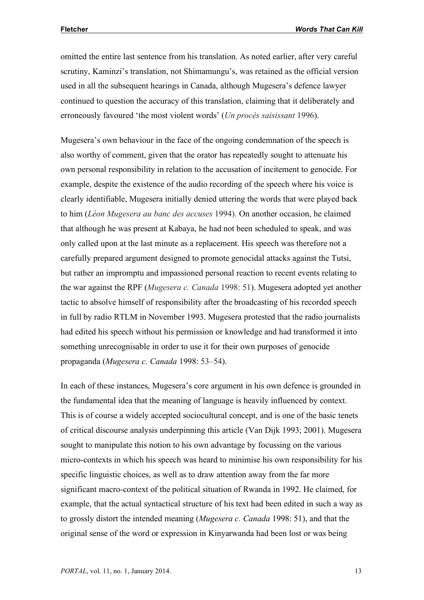omitted the entire last sentence from his translation. As noted earlier, after very careful scrutiny, Kaminzi's translation, not Shimamungu's, was retained as the official version used in all the subsequent hearings in Canada, although Mugesera's defence lawyer continued to question the accuracy of this translation, claiming that it deliberately and erroneously favoured 'the most violent words' (*Un procès saisissant* 1996).

Mugesera's own behaviour in the face of the ongoing condemnation of the speech is also worthy of comment, given that the orator has repeatedly sought to attenuate his own personal responsibility in relation to the accusation of incitement to genocide. For example, despite the existence of the audio recording of the speech where his voice is clearly identifiable, Mugesera initially denied uttering the words that were played back to him (*Léon Mugesera au banc des accuses* 1994). On another occasion, he claimed that although he was present at Kabaya, he had not been scheduled to speak, and was only called upon at the last minute as a replacement. His speech was therefore not a carefully prepared argument designed to promote genocidal attacks against the Tutsi, but rather an impromptu and impassioned personal reaction to recent events relating to the war against the RPF (*Mugesera c. Canada* 1998: 51). Mugesera adopted yet another tactic to absolve himself of responsibility after the broadcasting of his recorded speech in full by radio RTLM in November 1993. Mugesera protested that the radio journalists had edited his speech without his permission or knowledge and had transformed it into something unrecognisable in order to use it for their own purposes of genocide propaganda (*Mugesera c. Canada* 1998: 53–54).

In each of these instances, Mugesera's core argument in his own defence is grounded in the fundamental idea that the meaning of language is heavily influenced by context. This is of course a widely accepted sociocultural concept, and is one of the basic tenets of critical discourse analysis underpinning this article (Van Dijk 1993; 2001). Mugesera sought to manipulate this notion to his own advantage by focussing on the various micro-contexts in which his speech was heard to minimise his own responsibility for his specific linguistic choices, as well as to draw attention away from the far more significant macro-context of the political situation of Rwanda in 1992. He claimed, for example, that the actual syntactical structure of his text had been edited in such a way as to grossly distort the intended meaning (*Mugesera c. Canada* 1998: 51), and that the original sense of the word or expression in Kinyarwanda had been lost or was being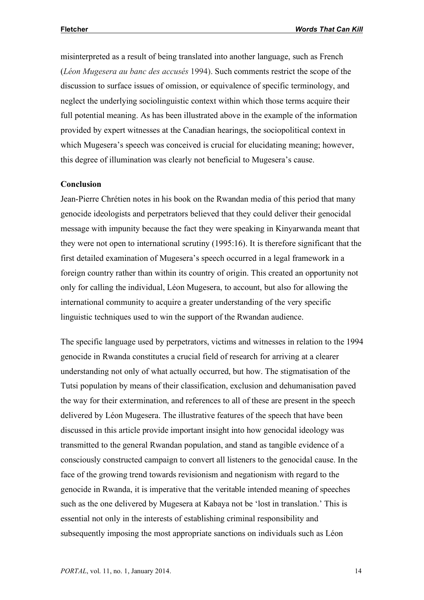misinterpreted as a result of being translated into another language, such as French (*Léon Mugesera au banc des accusés* 1994). Such comments restrict the scope of the discussion to surface issues of omission, or equivalence of specific terminology, and neglect the underlying sociolinguistic context within which those terms acquire their full potential meaning. As has been illustrated above in the example of the information provided by expert witnesses at the Canadian hearings, the sociopolitical context in which Mugesera's speech was conceived is crucial for elucidating meaning; however, this degree of illumination was clearly not beneficial to Mugesera's cause.

### **Conclusion**

Jean-Pierre Chrétien notes in his book on the Rwandan media of this period that many genocide ideologists and perpetrators believed that they could deliver their genocidal message with impunity because the fact they were speaking in Kinyarwanda meant that they were not open to international scrutiny (1995:16). It is therefore significant that the first detailed examination of Mugesera's speech occurred in a legal framework in a foreign country rather than within its country of origin. This created an opportunity not only for calling the individual, Léon Mugesera, to account, but also for allowing the international community to acquire a greater understanding of the very specific linguistic techniques used to win the support of the Rwandan audience.

The specific language used by perpetrators, victims and witnesses in relation to the 1994 genocide in Rwanda constitutes a crucial field of research for arriving at a clearer understanding not only of what actually occurred, but how. The stigmatisation of the Tutsi population by means of their classification, exclusion and dehumanisation paved the way for their extermination, and references to all of these are present in the speech delivered by Léon Mugesera. The illustrative features of the speech that have been discussed in this article provide important insight into how genocidal ideology was transmitted to the general Rwandan population, and stand as tangible evidence of a consciously constructed campaign to convert all listeners to the genocidal cause. In the face of the growing trend towards revisionism and negationism with regard to the genocide in Rwanda, it is imperative that the veritable intended meaning of speeches such as the one delivered by Mugesera at Kabaya not be 'lost in translation.' This is essential not only in the interests of establishing criminal responsibility and subsequently imposing the most appropriate sanctions on individuals such as Léon